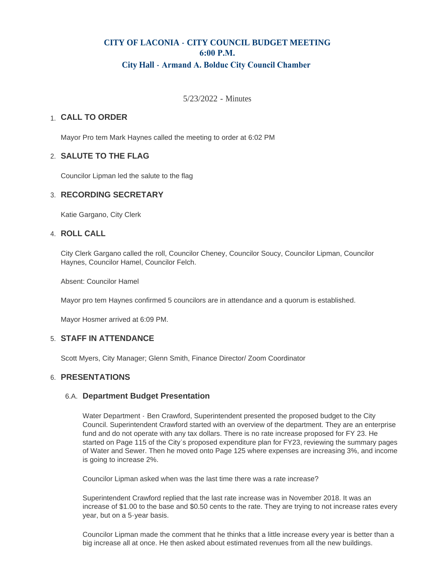# **CITY OF LACONIA - CITY COUNCIL BUDGET MEETING 6:00 P.M. City Hall - Armand A. Bolduc City Council Chamber**

5/23/2022 - Minutes

## **CALL TO ORDER**  1.

Mayor Pro tem Mark Haynes called the meeting to order at 6:02 PM

## **SALUTE TO THE FLAG** 2.

Councilor Lipman led the salute to the flag

## **RECORDING SECRETARY** 3.

Katie Gargano, City Clerk

#### **ROLL CALL** 4.

City Clerk Gargano called the roll, Councilor Cheney, Councilor Soucy, Councilor Lipman, Councilor Haynes, Councilor Hamel, Councilor Felch.

Absent: Councilor Hamel

Mayor pro tem Haynes confirmed 5 councilors are in attendance and a quorum is established.

Mayor Hosmer arrived at 6:09 PM.

#### **STAFF IN ATTENDANCE** 5.

Scott Myers, City Manager; Glenn Smith, Finance Director/ Zoom Coordinator

#### **PRESENTATIONS** 6.

#### **Department Budget Presentation** 6.A.

Water Department - Ben Crawford, Superintendent presented the proposed budget to the City Council. Superintendent Crawford started with an overview of the department. They are an enterprise fund and do not operate with any tax dollars. There is no rate increase proposed for FY 23. He started on Page 115 of the City's proposed expenditure plan for FY23, reviewing the summary pages of Water and Sewer. Then he moved onto Page 125 where expenses are increasing 3%, and income is going to increase 2%.

Councilor Lipman asked when was the last time there was a rate increase?

Superintendent Crawford replied that the last rate increase was in November 2018. It was an increase of \$1.00 to the base and \$0.50 cents to the rate. They are trying to not increase rates every year, but on a 5-year basis.

Councilor Lipman made the comment that he thinks that a little increase every year is better than a big increase all at once. He then asked about estimated revenues from all the new buildings.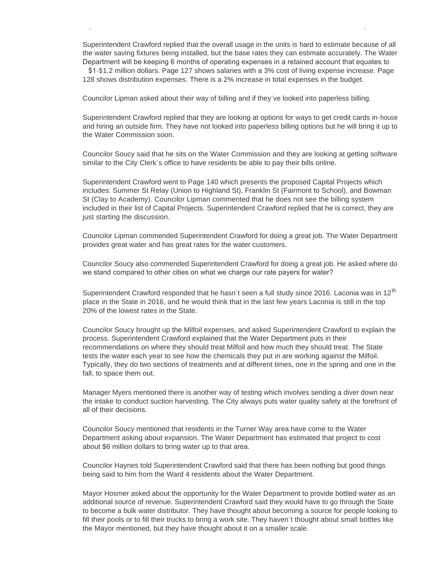Superintendent Crawford replied that the overall usage in the units is hard to estimate because of all the water saving fixtures being installed, but the base rates they can estimate accurately. The Water Department will be keeping 6 months of operating expenses in a retained account that equates to

 \$1-\$1.2 million dollars. Page 127 shows salaries with a 3% cost of living expense increase. Page 128 shows distribution expenses. There is a 2% increase in total expenses in the budget.

Councilor Lipman asked about their way of billing and if they've looked into paperless billing.

big increase all at once. He then asked about estimated revenues from all the new buildings.

Superintendent Crawford replied that they are looking at options for ways to get credit cards in-house and hiring an outside firm. They have not looked into paperless billing options but he will bring it up to the Water Commission soon.

Councilor Soucy said that he sits on the Water Commission and they are looking at getting software similar to the City Clerk's office to have residents be able to pay their bills online.

Superintendent Crawford went to Page 140 which presents the proposed Capital Projects which includes: Summer St Relay (Union to Highland St), Franklin St (Fairmont to School), and Bowman St (Clay to Academy). Councilor Lipman commented that he does not see the billing system included in their list of Capital Projects. Superintendent Crawford replied that he is correct, they are just starting the discussion.

Councilor Lipman commended Superintendent Crawford for doing a great job. The Water Department provides great water and has great rates for the water customers.

Councilor Soucy also commended Superintendent Crawford for doing a great job. He asked where do we stand compared to other cities on what we charge our rate payers for water?

Superintendent Crawford responded that he hasn't seen a full study since 2016. Laconia was in 12<sup>th</sup> place in the State in 2016, and he would think that in the last few years Laconia is still in the top 20% of the lowest rates in the State.

Councilor Soucy brought up the Milfoil expenses, and asked Superintendent Crawford to explain the process. Superintendent Crawford explained that the Water Department puts in their recommendations on where they should treat Milfoil and how much they should treat. The State tests the water each year to see how the chemicals they put in are working against the Milfoil. Typically, they do two sections of treatments and at different times, one in the spring and one in the fall, to space them out.

Manager Myers mentioned there is another way of testing which involves sending a diver down near the intake to conduct suction harvesting. The City always puts water quality safety at the forefront of all of their decisions.

Councilor Soucy mentioned that residents in the Turner Way area have come to the Water Department asking about expansion. The Water Department has estimated that project to cost about \$6 million dollars to bring water up to that area.

Councilor Haynes told Superintendent Crawford said that there has been nothing but good things being said to him from the Ward 4 residents about the Water Department.

Mayor Hosmer asked about the opportunity for the Water Department to provide bottled water as an additional source of revenue. Superintendent Crawford said they would have to go through the State to become a bulk water distributor. They have thought about becoming a source for people looking to fill their pools or to fill their trucks to bring a work site. They haven't thought about small bottles like the Mayor mentioned, but they have thought about it on a smaller scale.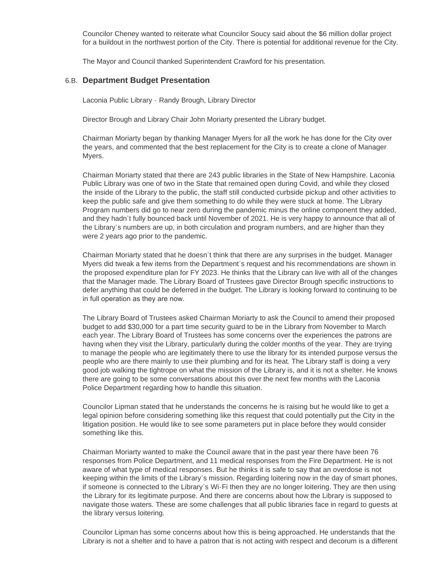Councilor Cheney wanted to reiterate what Councilor Soucy said about the \$6 million dollar project for a buildout in the northwest portion of the City. There is potential for additional revenue for the City.

The Mayor and Council thanked Superintendent Crawford for his presentation.

## **Department Budget Presentation** 6.B.

Laconia Public Library - Randy Brough, Library Director

Director Brough and Library Chair John Moriarty presented the Library budget.

Chairman Moriarty began by thanking Manager Myers for all the work he has done for the City over the years, and commented that the best replacement for the City is to create a clone of Manager Myers.

Chairman Moriarty stated that there are 243 public libraries in the State of New Hampshire. Laconia Public Library was one of two in the State that remained open during Covid, and while they closed the inside of the Library to the public, the staff still conducted curbside pickup and other activities to keep the public safe and give them something to do while they were stuck at home. The Library Program numbers did go to near zero during the pandemic minus the online component they added, and they hadn't fully bounced back until November of 2021. He is very happy to announce that all of the Library's numbers are up, in both circulation and program numbers, and are higher than they were 2 years ago prior to the pandemic.

Chairman Moriarty stated that he doesn't think that there are any surprises in the budget. Manager Myers did tweak a few items from the Department's request and his recommendations are shown in the proposed expenditure plan for FY 2023. He thinks that the Library can live with all of the changes that the Manager made. The Library Board of Trustees gave Director Brough specific instructions to defer anything that could be deferred in the budget. The Library is looking forward to continuing to be in full operation as they are now.

The Library Board of Trustees asked Chairman Moriarty to ask the Council to amend their proposed budget to add \$30,000 for a part time security guard to be in the Library from November to March each year. The Library Board of Trustees has some concerns over the experiences the patrons are having when they visit the Library, particularly during the colder months of the year. They are trying to manage the people who are legitimately there to use the library for its intended purpose versus the people who are there mainly to use their plumbing and for its heat. The Library staff is doing a very good job walking the tightrope on what the mission of the Library is, and it is not a shelter. He knows there are going to be some conversations about this over the next few months with the Laconia Police Department regarding how to handle this situation.

Councilor Lipman stated that he understands the concerns he is raising but he would like to get a legal opinion before considering something like this request that could potentially put the City in the litigation position. He would like to see some parameters put in place before they would consider something like this.

Chairman Moriarty wanted to make the Council aware that in the past year there have been 76 responses from Police Department, and 11 medical responses from the Fire Department. He is not aware of what type of medical responses. But he thinks it is safe to say that an overdose is not keeping within the limits of the Library's mission. Regarding loitering now in the day of smart phones, if someone is connected to the Library's Wi-Fi then they are no longer loitering. They are then using the Library for its legitimate purpose. And there are concerns about how the Library is supposed to navigate those waters. These are some challenges that all public libraries face in regard to guests at the library versus loitering.

Councilor Lipman has some concerns about how this is being approached. He understands that the Library is not a shelter and to have a patron that is not acting with respect and decorum is a different